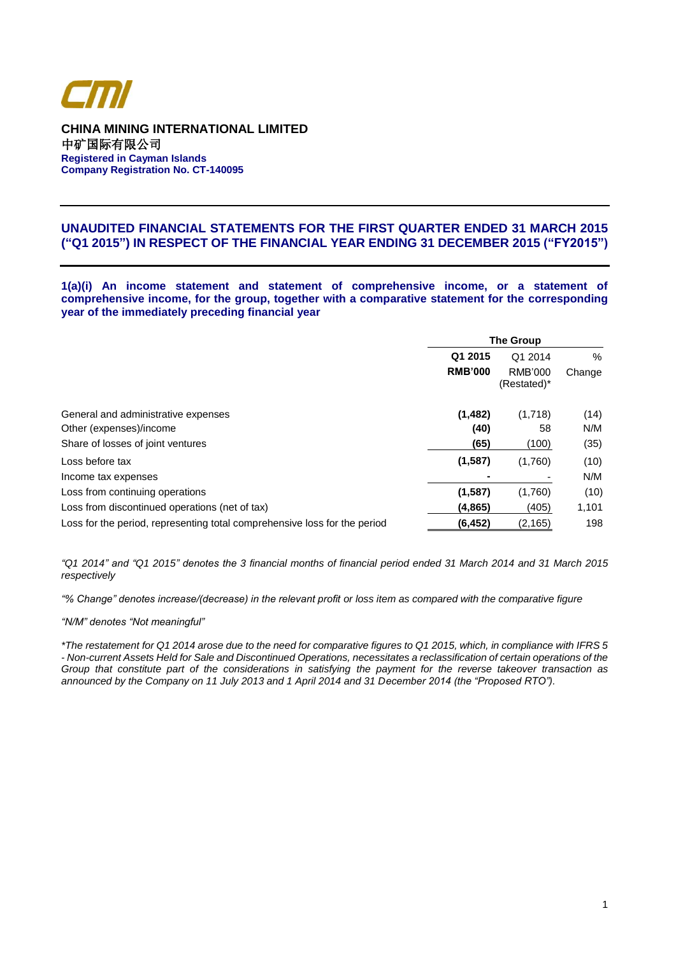

**CHINA MINING INTERNATIONAL LIMITED** 中矿国际有限公司 **Registered in Cayman Islands Company Registration No. CT-140095**

# **UNAUDITED FINANCIAL STATEMENTS FOR THE FIRST QUARTER ENDED 31 MARCH 2015 ("Q1 2015") IN RESPECT OF THE FINANCIAL YEAR ENDING 31 DECEMBER 2015 ("FY2015")**

**1(a)(i) An income statement and statement of comprehensive income, or a statement of comprehensive income, for the group, together with a comparative statement for the corresponding year of the immediately preceding financial year**

|                                                                           | <b>The Group</b> |                          |        |  |
|---------------------------------------------------------------------------|------------------|--------------------------|--------|--|
|                                                                           | Q1 2015          | Q1 2014                  | %      |  |
|                                                                           | <b>RMB'000</b>   | RMB'000<br>$(Restated)*$ | Change |  |
| General and administrative expenses                                       | (1, 482)         | (1,718)                  | (14)   |  |
| Other (expenses)/income                                                   | (40)             | 58                       | N/M    |  |
| Share of losses of joint ventures                                         | (65)             | (100)                    | (35)   |  |
| Loss before tax                                                           | (1,587)          | (1,760)                  | (10)   |  |
| Income tax expenses                                                       |                  |                          | N/M    |  |
| Loss from continuing operations                                           | (1,587)          | (1,760)                  | (10)   |  |
| Loss from discontinued operations (net of tax)                            | (4,865)          | (405)                    | 1,101  |  |
| Loss for the period, representing total comprehensive loss for the period | (6, 452)         | (2, 165)                 | 198    |  |

*"Q1 2014" and "Q1 2015" denotes the 3 financial months of financial period ended 31 March 2014 and 31 March 2015 respectively*

*"% Change" denotes increase/(decrease) in the relevant profit or loss item as compared with the comparative figure*

*"N/M" denotes "Not meaningful"*

*\*The restatement for Q1 2014 arose due to the need for comparative figures to Q1 2015, which, in compliance with IFRS 5 - Non-current Assets Held for Sale and Discontinued Operations, necessitates a reclassification of certain operations of the Group that constitute part of the considerations in satisfying the payment for the reverse takeover transaction as announced by the Company on 11 July 2013 and 1 April 2014 and 31 December 2014 (the "Proposed RTO").*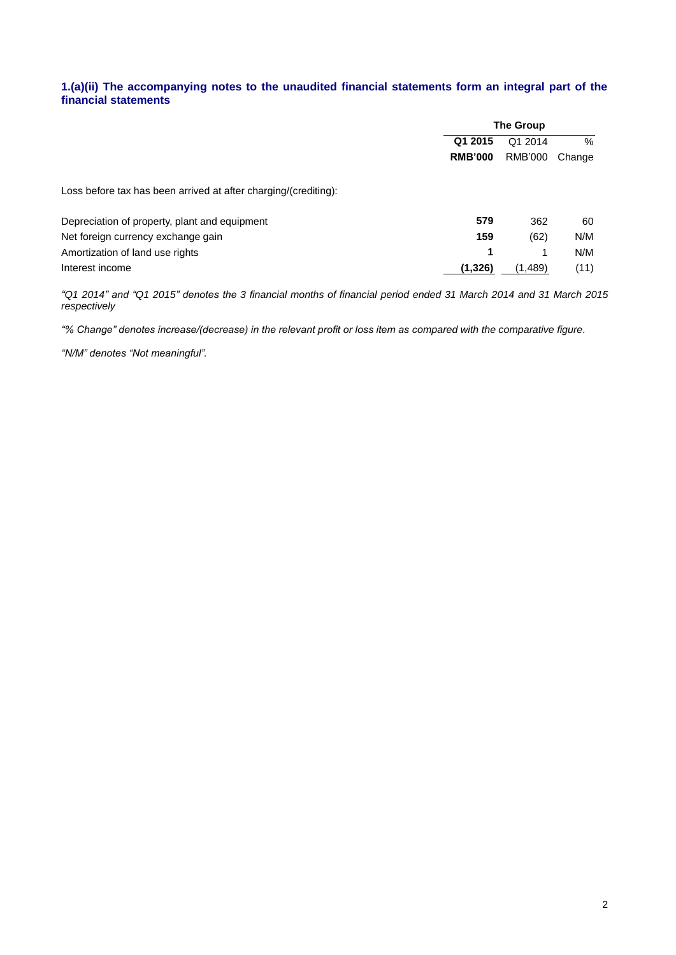# **1.(a)(ii) The accompanying notes to the unaudited financial statements form an integral part of the financial statements**

|                                                                 | <b>The Group</b>   |         |        |  |
|-----------------------------------------------------------------|--------------------|---------|--------|--|
|                                                                 | Q1 2015<br>Q1 2014 |         | $\%$   |  |
|                                                                 | <b>RMB'000</b>     | RMB'000 | Change |  |
| Loss before tax has been arrived at after charging/(crediting): |                    |         |        |  |
| Depreciation of property, plant and equipment                   | 579                | 362     | 60     |  |
| Net foreign currency exchange gain                              | 159                | (62)    | N/M    |  |
| Amortization of land use rights                                 | 1                  |         | N/M    |  |
| Interest income                                                 | (1, 326)           | (1,489) | (11)   |  |

*"Q1 2014" and "Q1 2015" denotes the 3 financial months of financial period ended 31 March 2014 and 31 March 2015 respectively*

*"% Change" denotes increase/(decrease) in the relevant profit or loss item as compared with the comparative figure.*

*"N/M" denotes "Not meaningful".*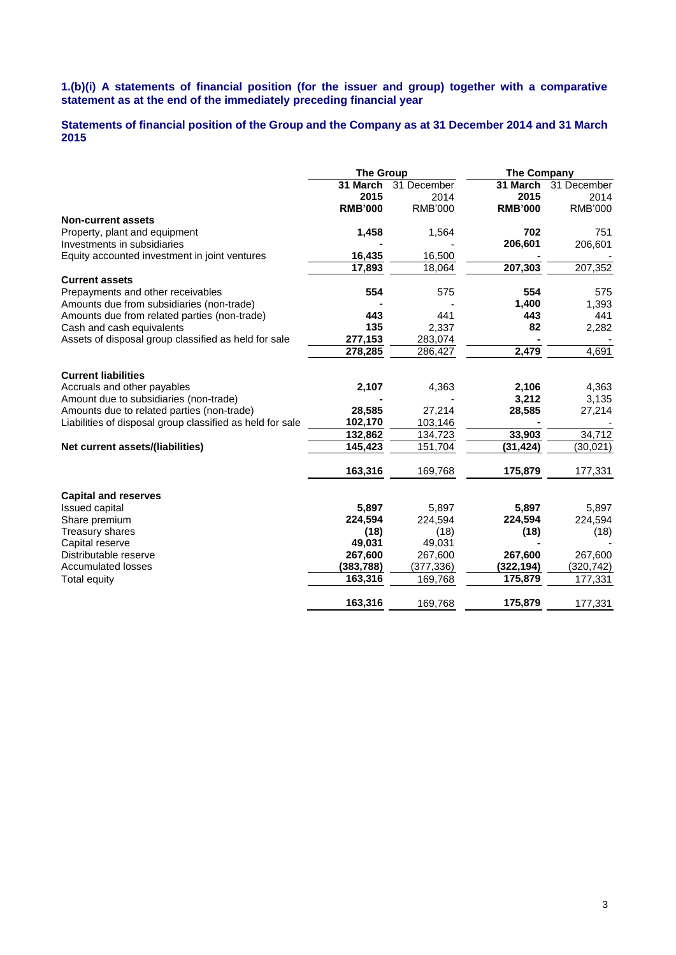### **1.(b)(i) A statements of financial position (for the issuer and group) together with a comparative statement as at the end of the immediately preceding financial year**

# **Statements of financial position of the Group and the Company as at 31 December 2014 and 31 March 2015**

|                                                           | <b>The Group</b> |                | <b>The Company</b> |                |  |
|-----------------------------------------------------------|------------------|----------------|--------------------|----------------|--|
|                                                           | 31 March         | 31 December    | 31 March           | 31 December    |  |
|                                                           | 2015             | 2014           | 2015               | 2014           |  |
|                                                           | <b>RMB'000</b>   | <b>RMB'000</b> | <b>RMB'000</b>     | <b>RMB'000</b> |  |
| <b>Non-current assets</b>                                 |                  |                |                    |                |  |
| Property, plant and equipment                             | 1,458            | 1,564          | 702                | 751            |  |
| Investments in subsidiaries                               |                  |                | 206,601            | 206,601        |  |
| Equity accounted investment in joint ventures             | 16,435           | 16,500         |                    |                |  |
|                                                           | 17,893           | 18,064         | 207,303            | 207,352        |  |
| <b>Current assets</b>                                     |                  |                |                    |                |  |
| Prepayments and other receivables                         | 554              | 575            | 554                | 575            |  |
| Amounts due from subsidiaries (non-trade)                 |                  |                | 1,400              | 1,393          |  |
| Amounts due from related parties (non-trade)              | 443              | 441            | 443                | 441            |  |
| Cash and cash equivalents                                 | 135              | 2,337          | 82                 | 2,282          |  |
| Assets of disposal group classified as held for sale      | 277,153          | 283,074        |                    |                |  |
|                                                           | 278,285          | 286,427        | 2,479              | 4,691          |  |
| <b>Current liabilities</b>                                |                  |                |                    |                |  |
| Accruals and other payables                               | 2,107            | 4,363          | 2,106              | 4,363          |  |
| Amount due to subsidiaries (non-trade)                    |                  |                | 3,212              | 3,135          |  |
| Amounts due to related parties (non-trade)                | 28,585           | 27,214         | 28,585             | 27,214         |  |
| Liabilities of disposal group classified as held for sale | 102,170          | 103,146        |                    |                |  |
|                                                           | 132,862          | 134,723        | 33,903             | 34,712         |  |
| Net current assets/(liabilities)                          | 145,423          | 151,704        | (31,424)           | (30, 021)      |  |
|                                                           | 163,316          | 169,768        | 175,879            | 177,331        |  |
| <b>Capital and reserves</b>                               |                  |                |                    |                |  |
| <b>Issued capital</b>                                     | 5,897            | 5,897          | 5,897              | 5,897          |  |
| Share premium                                             | 224,594          | 224,594        | 224,594            | 224,594        |  |
| Treasury shares                                           | (18)             | (18)           | (18)               | (18)           |  |
| Capital reserve                                           | 49,031           | 49,031         |                    |                |  |
| Distributable reserve                                     | 267,600          | 267,600        | 267,600            | 267,600        |  |
| <b>Accumulated losses</b>                                 | (383,788)        | (377, 336)     | (322,194)          | (320, 742)     |  |
| Total equity                                              | 163,316          | 169,768        | 175,879            | 177,331        |  |
|                                                           | 163,316          | 169,768        | 175,879            | 177,331        |  |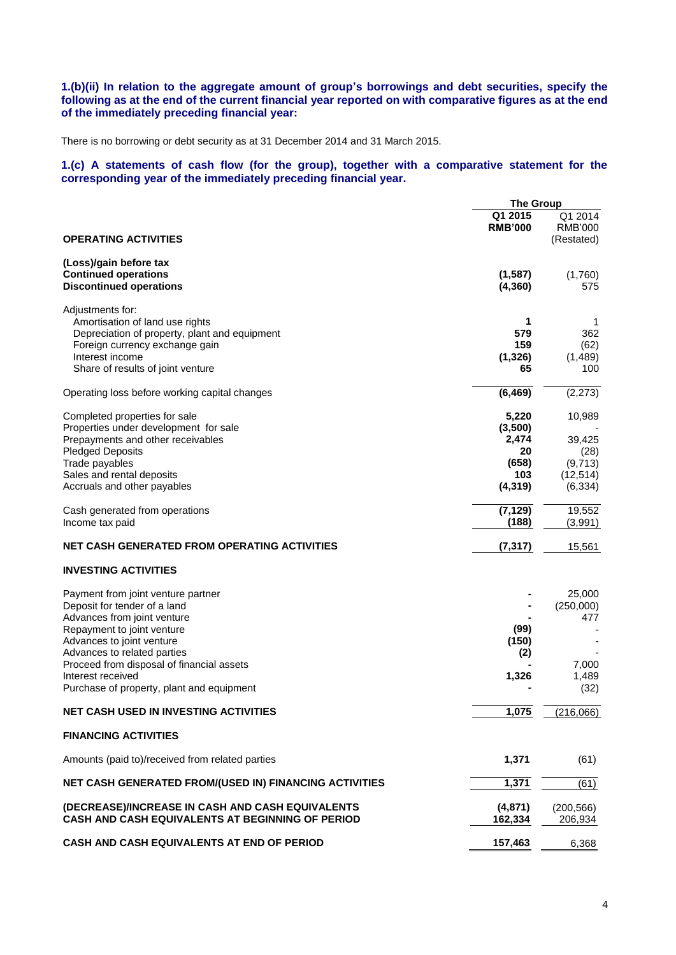## **1.(b)(ii) In relation to the aggregate amount of group's borrowings and debt securities, specify the following as at the end of the current financial year reported on with comparative figures as at the end of the immediately preceding financial year:**

There is no borrowing or debt security as at 31 December 2014 and 31 March 2015.

## **1.(c) A statements of cash flow (for the group), together with a comparative statement for the corresponding year of the immediately preceding financial year.**

|                                                               | <b>The Group</b>          |                                         |  |
|---------------------------------------------------------------|---------------------------|-----------------------------------------|--|
| <b>OPERATING ACTIVITIES</b>                                   | Q1 2015<br><b>RMB'000</b> | Q1 2014<br><b>RMB'000</b><br>(Restated) |  |
|                                                               |                           |                                         |  |
| (Loss)/gain before tax                                        |                           |                                         |  |
| <b>Continued operations</b><br><b>Discontinued operations</b> | (1, 587)<br>(4, 360)      | (1,760)<br>575                          |  |
|                                                               |                           |                                         |  |
| Adjustments for:                                              |                           |                                         |  |
| Amortisation of land use rights                               | 1                         | 1                                       |  |
| Depreciation of property, plant and equipment                 | 579                       | 362                                     |  |
| Foreign currency exchange gain<br>Interest income             | 159                       | (62)                                    |  |
| Share of results of joint venture                             | (1, 326)<br>65            | (1,489)<br>100                          |  |
|                                                               |                           |                                         |  |
| Operating loss before working capital changes                 | (6, 469)                  | (2, 273)                                |  |
| Completed properties for sale                                 | 5,220                     | 10,989                                  |  |
| Properties under development for sale                         | (3,500)                   |                                         |  |
| Prepayments and other receivables                             | 2,474                     | 39,425                                  |  |
| <b>Pledged Deposits</b>                                       | 20                        | (28)                                    |  |
| Trade payables                                                | (658)                     | (9,713)                                 |  |
| Sales and rental deposits                                     | 103<br>(4, 319)           | (12, 514)<br>(6, 334)                   |  |
| Accruals and other payables                                   |                           |                                         |  |
| Cash generated from operations                                | (7, 129)                  | 19,552                                  |  |
| Income tax paid                                               | (188)                     | (3,991)                                 |  |
| NET CASH GENERATED FROM OPERATING ACTIVITIES                  | (7, 317)                  | 15,561                                  |  |
| <b>INVESTING ACTIVITIES</b>                                   |                           |                                         |  |
| Payment from joint venture partner                            |                           | 25,000                                  |  |
| Deposit for tender of a land                                  |                           | (250,000)                               |  |
| Advances from joint venture                                   |                           | 477                                     |  |
| Repayment to joint venture                                    | (99)                      |                                         |  |
| Advances to joint venture                                     | (150)                     |                                         |  |
| Advances to related parties                                   | (2)                       |                                         |  |
| Proceed from disposal of financial assets                     |                           | 7,000                                   |  |
| Interest received                                             | 1,326                     | 1,489<br>(32)                           |  |
| Purchase of property, plant and equipment                     |                           |                                         |  |
| <b>NET CASH USED IN INVESTING ACTIVITIES</b>                  | 1,075                     | (216,066)                               |  |
| <b>FINANCING ACTIVITIES</b>                                   |                           |                                         |  |
| Amounts (paid to)/received from related parties               | 1,371                     | (61)                                    |  |
| NET CASH GENERATED FROM/(USED IN) FINANCING ACTIVITIES        | 1,371                     | (61)                                    |  |
| (DECREASE)/INCREASE IN CASH AND CASH EQUIVALENTS              | (4,871)                   |                                         |  |
| CASH AND CASH EQUIVALENTS AT BEGINNING OF PERIOD              | 162,334                   | (200, 566)<br>206,934                   |  |
| CASH AND CASH EQUIVALENTS AT END OF PERIOD                    | 157,463                   | 6,368                                   |  |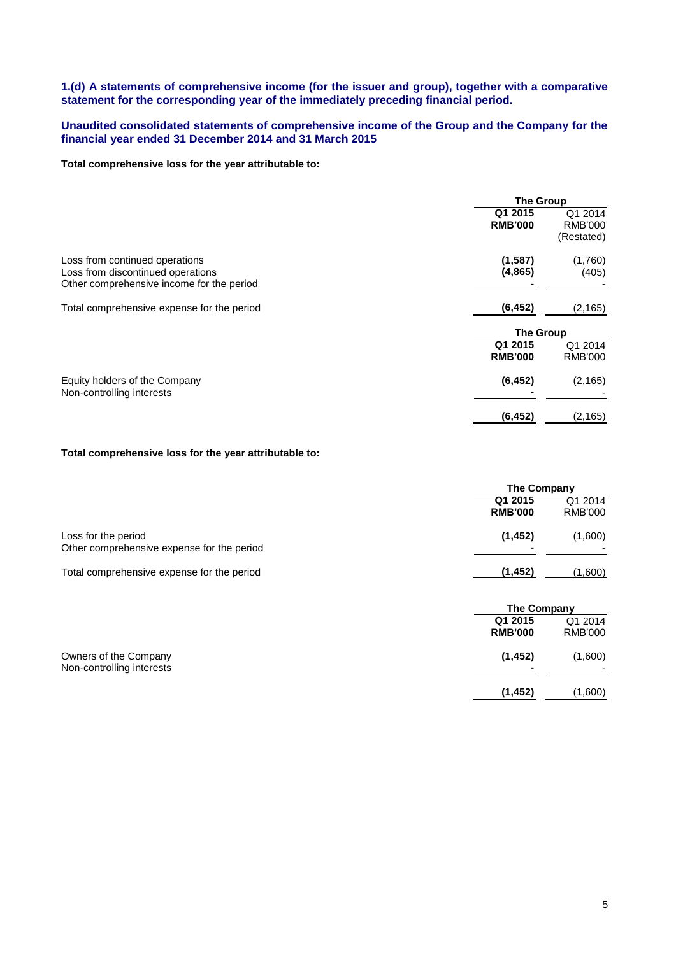# **1.(d) A statements of comprehensive income (for the issuer and group), together with a comparative statement for the corresponding year of the immediately preceding financial period.**

# **Unaudited consolidated statements of comprehensive income of the Group and the Company for the financial year ended 31 December 2014 and 31 March 2015**

### **Total comprehensive loss for the year attributable to:**

|                                                                                                                  | <b>The Group</b>          |                                         |  |
|------------------------------------------------------------------------------------------------------------------|---------------------------|-----------------------------------------|--|
|                                                                                                                  | Q1 2015<br><b>RMB'000</b> | Q1 2014<br><b>RMB'000</b><br>(Restated) |  |
| Loss from continued operations<br>Loss from discontinued operations<br>Other comprehensive income for the period | (1,587)<br>(4, 865)       | (1,760)<br>(405)                        |  |
| Total comprehensive expense for the period                                                                       | (6, 452)                  | (2, 165)                                |  |
|                                                                                                                  | <b>The Group</b>          |                                         |  |
|                                                                                                                  | Q1 2015<br><b>RMB'000</b> | Q1 2014<br><b>RMB'000</b>               |  |
| Equity holders of the Company<br>Non-controlling interests                                                       | (6, 452)                  | (2, 165)                                |  |
|                                                                                                                  | (6, 452)                  | (2, 165)                                |  |

## **Total comprehensive loss for the year attributable to:**

|                                                                   | <b>The Company</b>        |                           |
|-------------------------------------------------------------------|---------------------------|---------------------------|
|                                                                   | Q1 2015<br><b>RMB'000</b> | Q1 2014<br><b>RMB'000</b> |
| Loss for the period<br>Other comprehensive expense for the period | (1, 452)                  | (1,600)                   |
| Total comprehensive expense for the period                        | (1, 452)                  | (1,600)                   |
|                                                                   | <b>The Company</b>        |                           |
|                                                                   | Q1 2015<br><b>RMB'000</b> | Q1 2014<br>RMB'000        |
| Owners of the Company                                             | (1, 452)                  | (1,600)                   |

| OWNERS OF the Company     | 11,4341 | (1,000) |
|---------------------------|---------|---------|
| Non-controlling interests |         |         |
|                           |         |         |

**(1,452)** (1,600)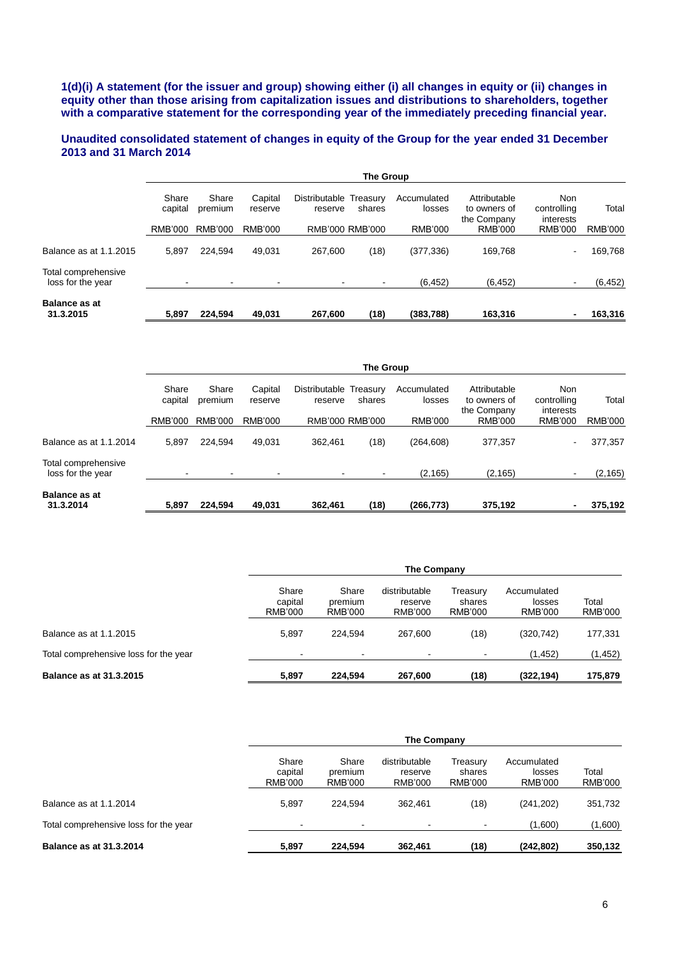**1(d)(i) A statement (for the issuer and group) showing either (i) all changes in equity or (ii) changes in equity other than those arising from capitalization issues and distributions to shareholders, together with a comparative statement for the corresponding year of the immediately preceding financial year.**

## **Unaudited consolidated statement of changes in equity of the Group for the year ended 31 December 2013 and 31 March 2014**

|                                          | The Group        |                  |                    |                                   |        |                       |                                             |                                 |          |
|------------------------------------------|------------------|------------------|--------------------|-----------------------------------|--------|-----------------------|---------------------------------------------|---------------------------------|----------|
|                                          | Share<br>capital | Share<br>premium | Capital<br>reserve | Distributable Treasury<br>reserve | shares | Accumulated<br>losses | Attributable<br>to owners of<br>the Company | Non<br>controlling<br>interests | Total    |
|                                          | RMB'000          | RMB'000          | RMB'000            | RMB'000 RMB'000                   |        | <b>RMB'000</b>        | RMB'000                                     | <b>RMB'000</b>                  | RMB'000  |
| Balance as at 1.1.2015                   | 5,897            | 224.594          | 49.031             | 267.600                           | (18)   | (377, 336)            | 169.768                                     | -                               | 169,768  |
| Total comprehensive<br>loss for the year |                  | $\blacksquare$   | $\blacksquare$     |                                   |        | (6, 452)              | (6, 452)                                    |                                 | (6, 452) |
| <b>Balance as at</b><br>31.3.2015        | 5,897            | 224,594          | 49,031             | 267,600                           | (18)   | (383,788)             | 163,316                                     |                                 | 163,316  |

|                                          | The Group                |                  |                          |                          |                    |                       |                                             |                                 |                |
|------------------------------------------|--------------------------|------------------|--------------------------|--------------------------|--------------------|-----------------------|---------------------------------------------|---------------------------------|----------------|
|                                          | Share<br>capital         | Share<br>premium | Capital<br>reserve       | Distributable<br>reserve | Treasury<br>shares | Accumulated<br>losses | Attributable<br>to owners of<br>the Company | Non<br>controlling<br>interests | Total          |
|                                          | RMB'000                  | RMB'000          | <b>RMB'000</b>           | RMB'000 RMB'000          |                    | RMB'000               | RMB'000                                     | <b>RMB'000</b>                  | <b>RMB'000</b> |
| Balance as at 1.1.2014                   | 5,897                    | 224.594          | 49.031                   | 362.461                  | (18)               | (264, 608)            | 377,357                                     | ۰.                              | 377,357        |
| Total comprehensive<br>loss for the year | $\overline{\phantom{0}}$ | ٠                | $\overline{\phantom{a}}$ |                          |                    | (2, 165)              | (2, 165)                                    |                                 | (2, 165)       |
| <b>Balance as at</b><br>31.3.2014        | 5,897                    | 224,594          | 49,031                   | 362,461                  | (18)               | (266, 773)            | 375,192                                     |                                 | 375,192        |

|                                       | The Company                 |                                    |                                            |                               |                                  |                  |
|---------------------------------------|-----------------------------|------------------------------------|--------------------------------------------|-------------------------------|----------------------------------|------------------|
|                                       | Share<br>capital<br>RMB'000 | Share<br>premium<br><b>RMB'000</b> | distributable<br>reserve<br><b>RMB'000</b> | Treasury<br>shares<br>RMB'000 | Accumulated<br>losses<br>RMB'000 | Total<br>RMB'000 |
| Balance as at 1.1.2015                | 5.897                       | 224.594                            | 267,600                                    | (18)                          | (320, 742)                       | 177,331          |
| Total comprehensive loss for the year | -                           | $\blacksquare$                     |                                            |                               | (1, 452)                         | (1, 452)         |
| <b>Balance as at 31.3.2015</b>        | 5,897                       | 224.594                            | 267.600                                    | (18)                          | (322, 194)                       | 175,879          |

|                                       |                                    | The Company                        |                                     |                               |                                  |                         |  |  |
|---------------------------------------|------------------------------------|------------------------------------|-------------------------------------|-------------------------------|----------------------------------|-------------------------|--|--|
|                                       | Share<br>capital<br><b>RMB'000</b> | Share<br>premium<br><b>RMB'000</b> | distributable<br>reserve<br>RMB'000 | Treasury<br>shares<br>RMB'000 | Accumulated<br>losses<br>RMB'000 | Total<br><b>RMB'000</b> |  |  |
| Balance as at 1.1.2014                | 5.897                              | 224.594                            | 362.461                             | (18)                          | (241, 202)                       | 351,732                 |  |  |
| Total comprehensive loss for the year | $\overline{\phantom{a}}$           | $\sim$                             | $\blacksquare$                      |                               | (1,600)                          | (1,600)                 |  |  |
| <b>Balance as at 31.3.2014</b>        | 5.897                              | 224.594                            | 362,461                             | (18)                          | (242,802)                        | 350,132                 |  |  |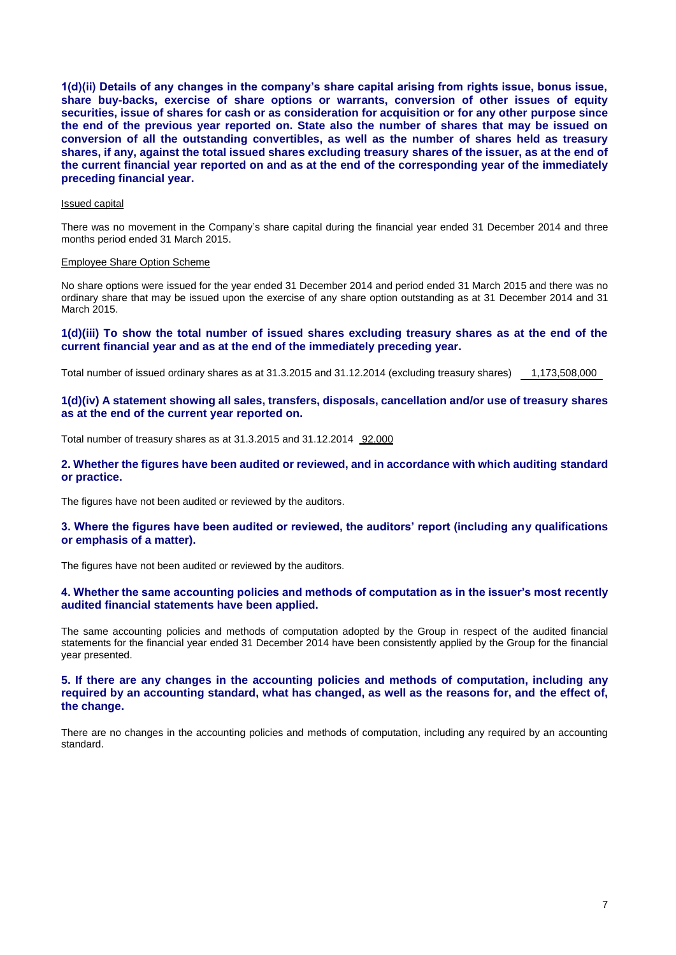**1(d)(ii) Details of any changes in the company's share capital arising from rights issue, bonus issue, share buy-backs, exercise of share options or warrants, conversion of other issues of equity securities, issue of shares for cash or as consideration for acquisition or for any other purpose since the end of the previous year reported on. State also the number of shares that may be issued on conversion of all the outstanding convertibles, as well as the number of shares held as treasury shares, if any, against the total issued shares excluding treasury shares of the issuer, as at the end of the current financial year reported on and as at the end of the corresponding year of the immediately preceding financial year.**

### Issued capital

There was no movement in the Company's share capital during the financial year ended 31 December 2014 and three months period ended 31 March 2015.

#### Employee Share Option Scheme

No share options were issued for the year ended 31 December 2014 and period ended 31 March 2015 and there was no ordinary share that may be issued upon the exercise of any share option outstanding as at 31 December 2014 and 31 March 2015.

#### **1(d)(iii) To show the total number of issued shares excluding treasury shares as at the end of the current financial year and as at the end of the immediately preceding year.**

Total number of issued ordinary shares as at 31.3.2015 and 31.12.2014 (excluding treasury shares) 1,173,508,000

#### **1(d)(iv) A statement showing all sales, transfers, disposals, cancellation and/or use of treasury shares as at the end of the current year reported on.**

Total number of treasury shares as at 31.3.2015 and 31.12.2014 92,000

#### **2. Whether the figures have been audited or reviewed, and in accordance with which auditing standard or practice.**

The figures have not been audited or reviewed by the auditors.

### **3. Where the figures have been audited or reviewed, the auditors' report (including any qualifications or emphasis of a matter).**

The figures have not been audited or reviewed by the auditors.

### **4. Whether the same accounting policies and methods of computation as in the issuer's most recently audited financial statements have been applied.**

The same accounting policies and methods of computation adopted by the Group in respect of the audited financial statements for the financial year ended 31 December 2014 have been consistently applied by the Group for the financial year presented.

## **5. If there are any changes in the accounting policies and methods of computation, including any required by an accounting standard, what has changed, as well as the reasons for, and the effect of, the change.**

There are no changes in the accounting policies and methods of computation, including any required by an accounting standard.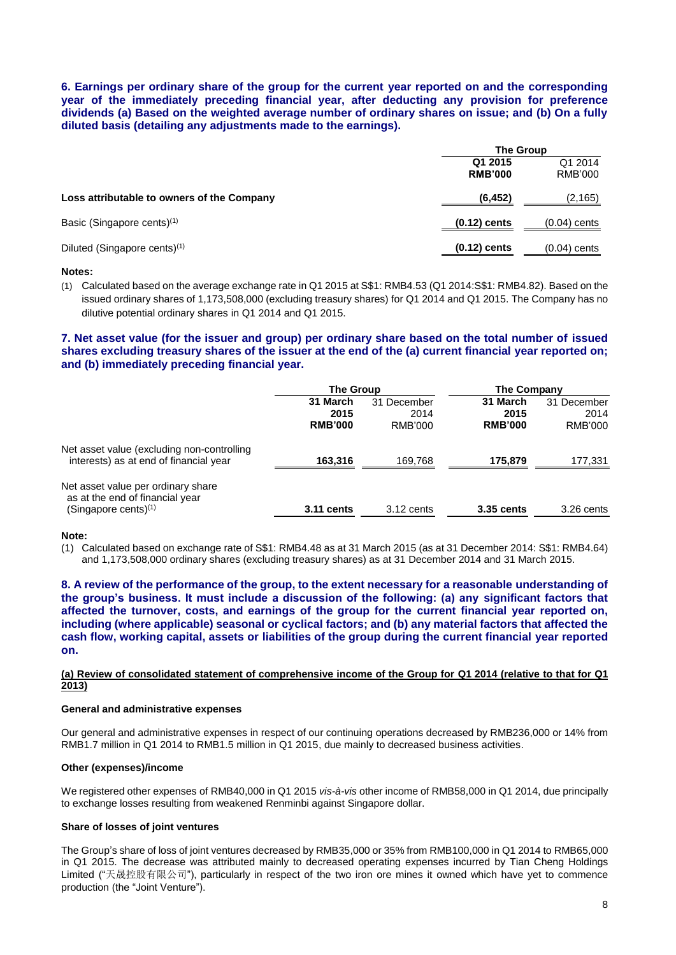**6. Earnings per ordinary share of the group for the current year reported on and the corresponding year of the immediately preceding financial year, after deducting any provision for preference dividends (a) Based on the weighted average number of ordinary shares on issue; and (b) On a fully diluted basis (detailing any adjustments made to the earnings).** 

|                                            |                           | <b>The Group</b>          |
|--------------------------------------------|---------------------------|---------------------------|
|                                            | Q1 2015<br><b>RMB'000</b> | Q1 2014<br><b>RMB'000</b> |
| Loss attributable to owners of the Company | (6, 452)                  | (2, 165)                  |
| Basic (Singapore cents) <sup>(1)</sup>     | $(0.12)$ cents            | $(0.04)$ cents            |
| Diluted (Singapore cents) <sup>(1)</sup>   | $(0.12)$ cents            | $(0.04)$ cents            |

#### **Notes:**

(1) Calculated based on the average exchange rate in Q1 2015 at S\$1: RMB4.53 (Q1 2014:S\$1: RMB4.82). Based on the issued ordinary shares of 1,173,508,000 (excluding treasury shares) for Q1 2014 and Q1 2015. The Company has no dilutive potential ordinary shares in Q1 2014 and Q1 2015.

# **7. Net asset value (for the issuer and group) per ordinary share based on the total number of issued shares excluding treasury shares of the issuer at the end of the (a) current financial year reported on; and (b) immediately preceding financial year.**

|                                                                                                  | <b>The Group</b>                   |                                | The Company                        |                                |
|--------------------------------------------------------------------------------------------------|------------------------------------|--------------------------------|------------------------------------|--------------------------------|
|                                                                                                  | 31 March<br>2015<br><b>RMB'000</b> | 31 December<br>2014<br>RMB'000 | 31 March<br>2015<br><b>RMB'000</b> | 31 December<br>2014<br>RMB'000 |
| Net asset value (excluding non-controlling<br>interests) as at end of financial year             | 163.316                            | 169,768                        | 175.879                            | 177,331                        |
| Net asset value per ordinary share<br>as at the end of financial year<br>(Singapore cents) $(1)$ | 3.11 cents                         | $3.12$ cents                   | 3.35 cents                         | 3.26 cents                     |

**Note:**

(1) Calculated based on exchange rate of S\$1: RMB4.48 as at 31 March 2015 (as at 31 December 2014: S\$1: RMB4.64) and 1,173,508,000 ordinary shares (excluding treasury shares) as at 31 December 2014 and 31 March 2015.

**8. A review of the performance of the group, to the extent necessary for a reasonable understanding of the group's business. It must include a discussion of the following: (a) any significant factors that affected the turnover, costs, and earnings of the group for the current financial year reported on, including (where applicable) seasonal or cyclical factors; and (b) any material factors that affected the cash flow, working capital, assets or liabilities of the group during the current financial year reported on.**

## **(a) Review of consolidated statement of comprehensive income of the Group for Q1 2014 (relative to that for Q1 2013)**

#### **General and administrative expenses**

Our general and administrative expenses in respect of our continuing operations decreased by RMB236,000 or 14% from RMB1.7 million in Q1 2014 to RMB1.5 million in Q1 2015, due mainly to decreased business activities.

## **Other (expenses)/income**

We registered other expenses of RMB40,000 in Q1 2015 *vis-à-vis* other income of RMB58,000 in Q1 2014, due principally to exchange losses resulting from weakened Renminbi against Singapore dollar.

## **Share of losses of joint ventures**

The Group's share of loss of joint ventures decreased by RMB35,000 or 35% from RMB100,000 in Q1 2014 to RMB65,000 in Q1 2015. The decrease was attributed mainly to decreased operating expenses incurred by Tian Cheng Holdings Limited ("天晟控股有限公司"), particularly in respect of the two iron ore mines it owned which have yet to commence production (the "Joint Venture").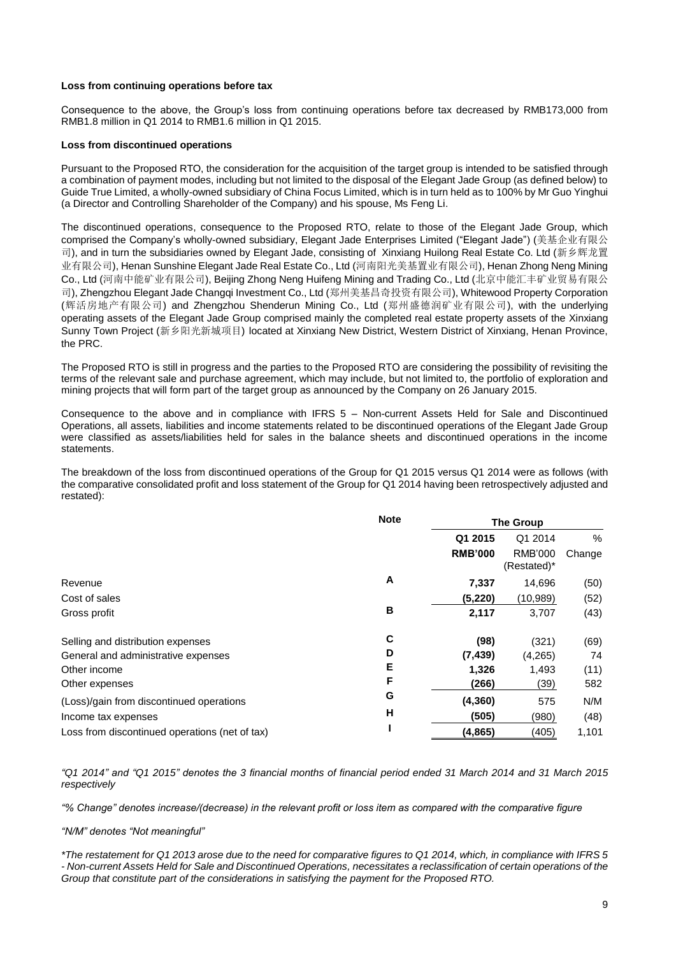#### **Loss from continuing operations before tax**

Consequence to the above, the Group's loss from continuing operations before tax decreased by RMB173,000 from RMB1.8 million in Q1 2014 to RMB1.6 million in Q1 2015.

### **Loss from discontinued operations**

Pursuant to the Proposed RTO, the consideration for the acquisition of the target group is intended to be satisfied through a combination of payment modes, including but not limited to the disposal of the Elegant Jade Group (as defined below) to Guide True Limited, a wholly-owned subsidiary of China Focus Limited, which is in turn held as to 100% by Mr Guo Yinghui (a Director and Controlling Shareholder of the Company) and his spouse, Ms Feng Li.

The discontinued operations, consequence to the Proposed RTO, relate to those of the Elegant Jade Group, which comprised the Company's wholly-owned subsidiary, Elegant Jade Enterprises Limited ("Elegant Jade") (美基企业有限公 司), and in turn the subsidiaries owned by Elegant Jade, consisting of Xinxiang Huilong Real Estate Co. Ltd (新乡辉龙置 业有限公司), Henan Sunshine Elegant Jade Real Estate Co., Ltd (河南阳光美基置业有限公司), Henan Zhong Neng Mining Co., Ltd (河南中能矿业有限公司), Beijing Zhong Neng Huifeng Mining and Trading Co., Ltd (北京中能汇丰矿业贸易有限公 司), Zhengzhou Elegant Jade Changqi Investment Co., Ltd (郑州美基昌奇投资有限公司), Whitewood Property Corporation (辉活房地产有限公司) and Zhengzhou Shenderun Mining Co., Ltd (郑州盛德润矿业有限公司), with the underlying operating assets of the Elegant Jade Group comprised mainly the completed real estate property assets of the Xinxiang Sunny Town Project (新乡阳光新城项目) located at Xinxiang New District, Western District of Xinxiang, Henan Province, the PRC.

The Proposed RTO is still in progress and the parties to the Proposed RTO are considering the possibility of revisiting the terms of the relevant sale and purchase agreement, which may include, but not limited to, the portfolio of exploration and mining projects that will form part of the target group as announced by the Company on 26 January 2015.

Consequence to the above and in compliance with IFRS 5 – Non-current Assets Held for Sale and Discontinued Operations, all assets, liabilities and income statements related to be discontinued operations of the Elegant Jade Group were classified as assets/liabilities held for sales in the balance sheets and discontinued operations in the income statements.

The breakdown of the loss from discontinued operations of the Group for Q1 2015 versus Q1 2014 were as follows (with the comparative consolidated profit and loss statement of the Group for Q1 2014 having been retrospectively adjusted and restated):

|                                                | <b>Note</b> | <b>The Group</b> |                               |        |
|------------------------------------------------|-------------|------------------|-------------------------------|--------|
|                                                |             | Q1 2015          | Q1 2014                       | $\%$   |
|                                                |             | <b>RMB'000</b>   | <b>RMB'000</b><br>(Restated)* | Change |
| Revenue                                        | A           | 7,337            | 14,696                        | (50)   |
| Cost of sales                                  |             | (5,220)          | (10,989)                      | (52)   |
| Gross profit                                   | B           | 2,117            | 3,707                         | (43)   |
| Selling and distribution expenses              | C           | (98)             | (321)                         | (69)   |
| General and administrative expenses            | D           | (7, 439)         | (4,265)                       | 74     |
| Other income                                   | Е           | 1,326            | 1,493                         | (11)   |
| Other expenses                                 | F           | (266)            | (39)                          | 582    |
| (Loss)/gain from discontinued operations       | G           | (4, 360)         | 575                           | N/M    |
| Income tax expenses                            | н           | (505)            | (980)                         | (48)   |
| Loss from discontinued operations (net of tax) |             | (4,865)          | (405)                         | 1,101  |

*"Q1 2014" and "Q1 2015" denotes the 3 financial months of financial period ended 31 March 2014 and 31 March 2015 respectively*

*"% Change" denotes increase/(decrease) in the relevant profit or loss item as compared with the comparative figure*

#### *"N/M" denotes "Not meaningful"*

*\*The restatement for Q1 2013 arose due to the need for comparative figures to Q1 2014, which, in compliance with IFRS 5 - Non-current Assets Held for Sale and Discontinued Operations, necessitates a reclassification of certain operations of the Group that constitute part of the considerations in satisfying the payment for the Proposed RTO.*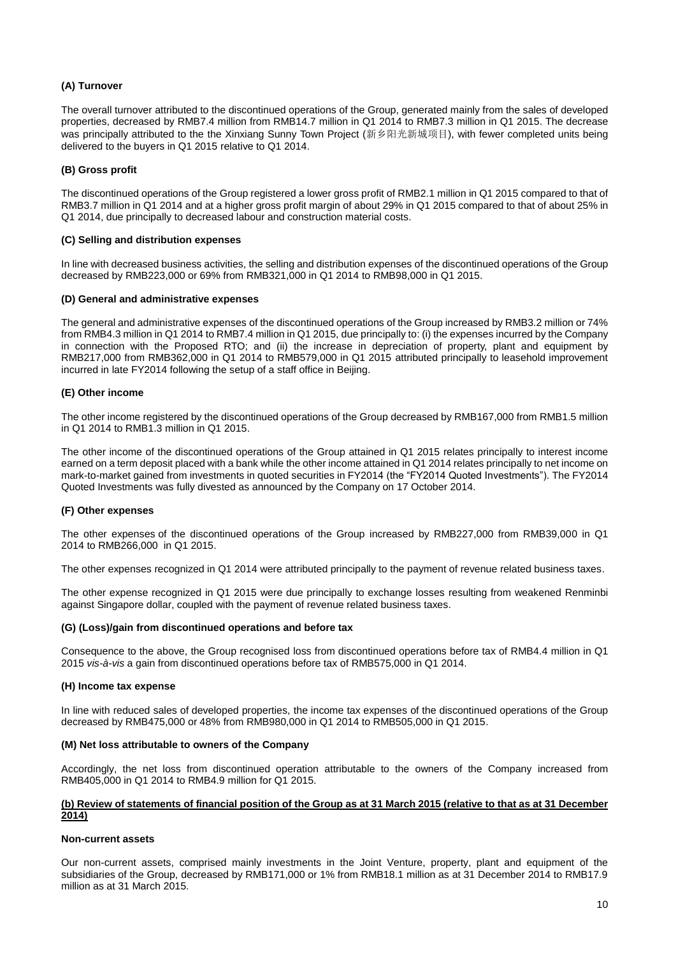## **(A) Turnover**

The overall turnover attributed to the discontinued operations of the Group, generated mainly from the sales of developed properties, decreased by RMB7.4 million from RMB14.7 million in Q1 2014 to RMB7.3 million in Q1 2015. The decrease was principally attributed to the the Xinxiang Sunny Town Project (新乡阳光新城项目), with fewer completed units being delivered to the buyers in Q1 2015 relative to Q1 2014.

### **(B) Gross profit**

The discontinued operations of the Group registered a lower gross profit of RMB2.1 million in Q1 2015 compared to that of RMB3.7 million in Q1 2014 and at a higher gross profit margin of about 29% in Q1 2015 compared to that of about 25% in Q1 2014, due principally to decreased labour and construction material costs.

#### **(C) Selling and distribution expenses**

In line with decreased business activities, the selling and distribution expenses of the discontinued operations of the Group decreased by RMB223,000 or 69% from RMB321,000 in Q1 2014 to RMB98,000 in Q1 2015.

#### **(D) General and administrative expenses**

The general and administrative expenses of the discontinued operations of the Group increased by RMB3.2 million or 74% from RMB4.3 million in Q1 2014 to RMB7.4 million in Q1 2015, due principally to: (i) the expenses incurred by the Company in connection with the Proposed RTO; and (ii) the increase in depreciation of property, plant and equipment by RMB217,000 from RMB362,000 in Q1 2014 to RMB579,000 in Q1 2015 attributed principally to leasehold improvement incurred in late FY2014 following the setup of a staff office in Beijing.

#### **(E) Other income**

The other income registered by the discontinued operations of the Group decreased by RMB167,000 from RMB1.5 million in Q1 2014 to RMB1.3 million in Q1 2015.

The other income of the discontinued operations of the Group attained in Q1 2015 relates principally to interest income earned on a term deposit placed with a bank while the other income attained in Q1 2014 relates principally to net income on mark-to-market gained from investments in quoted securities in FY2014 (the "FY2014 Quoted Investments"). The FY2014 Quoted Investments was fully divested as announced by the Company on 17 October 2014.

#### **(F) Other expenses**

The other expenses of the discontinued operations of the Group increased by RMB227,000 from RMB39,000 in Q1 2014 to RMB266,000 in Q1 2015.

The other expenses recognized in Q1 2014 were attributed principally to the payment of revenue related business taxes.

The other expense recognized in Q1 2015 were due principally to exchange losses resulting from weakened Renminbi against Singapore dollar, coupled with the payment of revenue related business taxes.

#### **(G) (Loss)/gain from discontinued operations and before tax**

Consequence to the above, the Group recognised loss from discontinued operations before tax of RMB4.4 million in Q1 2015 *vis-à-vis* a gain from discontinued operations before tax of RMB575,000 in Q1 2014.

#### **(H) Income tax expense**

In line with reduced sales of developed properties, the income tax expenses of the discontinued operations of the Group decreased by RMB475,000 or 48% from RMB980,000 in Q1 2014 to RMB505,000 in Q1 2015.

#### **(M) Net loss attributable to owners of the Company**

Accordingly, the net loss from discontinued operation attributable to the owners of the Company increased from RMB405,000 in Q1 2014 to RMB4.9 million for Q1 2015.

## **(b) Review of statements of financial position of the Group as at 31 March 2015 (relative to that as at 31 December 2014)**

#### **Non-current assets**

Our non-current assets, comprised mainly investments in the Joint Venture, property, plant and equipment of the subsidiaries of the Group, decreased by RMB171,000 or 1% from RMB18.1 million as at 31 December 2014 to RMB17.9 million as at 31 March 2015.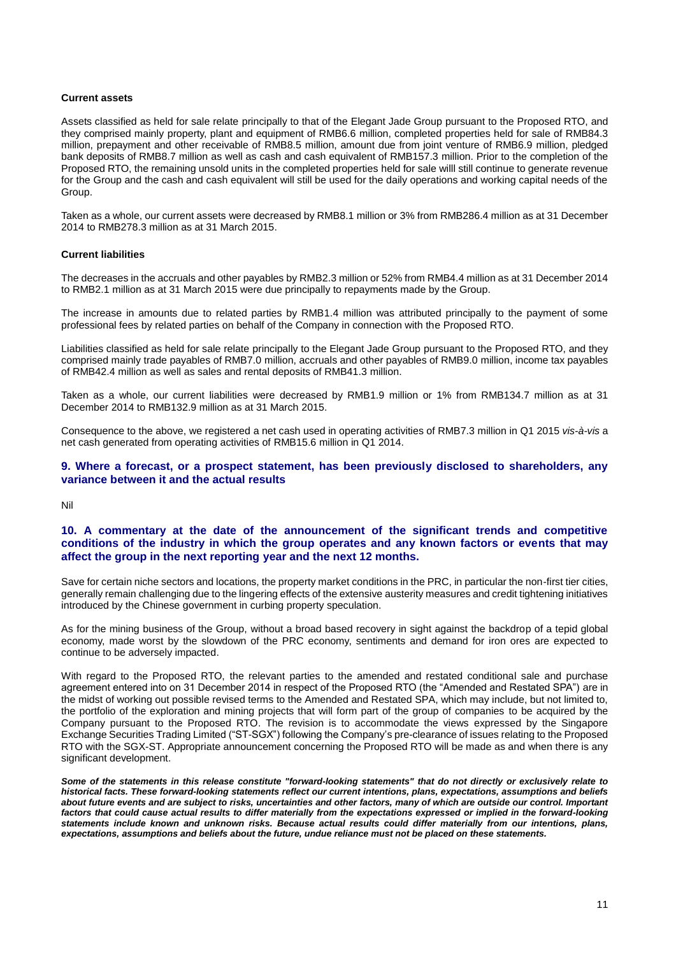#### **Current assets**

Assets classified as held for sale relate principally to that of the Elegant Jade Group pursuant to the Proposed RTO, and they comprised mainly property, plant and equipment of RMB6.6 million, completed properties held for sale of RMB84.3 million, prepayment and other receivable of RMB8.5 million, amount due from joint venture of RMB6.9 million, pledged bank deposits of RMB8.7 million as well as cash and cash equivalent of RMB157.3 million. Prior to the completion of the Proposed RTO, the remaining unsold units in the completed properties held for sale willl still continue to generate revenue for the Group and the cash and cash equivalent will still be used for the daily operations and working capital needs of the Group.

Taken as a whole, our current assets were decreased by RMB8.1 million or 3% from RMB286.4 million as at 31 December 2014 to RMB278.3 million as at 31 March 2015.

#### **Current liabilities**

The decreases in the accruals and other payables by RMB2.3 million or 52% from RMB4.4 million as at 31 December 2014 to RMB2.1 million as at 31 March 2015 were due principally to repayments made by the Group.

The increase in amounts due to related parties by RMB1.4 million was attributed principally to the payment of some professional fees by related parties on behalf of the Company in connection with the Proposed RTO.

Liabilities classified as held for sale relate principally to the Elegant Jade Group pursuant to the Proposed RTO, and they comprised mainly trade payables of RMB7.0 million, accruals and other payables of RMB9.0 million, income tax payables of RMB42.4 million as well as sales and rental deposits of RMB41.3 million.

Taken as a whole, our current liabilities were decreased by RMB1.9 million or 1% from RMB134.7 million as at 31 December 2014 to RMB132.9 million as at 31 March 2015.

Consequence to the above, we registered a net cash used in operating activities of RMB7.3 million in Q1 2015 *vis-à-vis* a net cash generated from operating activities of RMB15.6 million in Q1 2014.

#### **9. Where a forecast, or a prospect statement, has been previously disclosed to shareholders, any variance between it and the actual results**

Nil

### **10. A commentary at the date of the announcement of the significant trends and competitive conditions of the industry in which the group operates and any known factors or events that may affect the group in the next reporting year and the next 12 months.**

Save for certain niche sectors and locations, the property market conditions in the PRC, in particular the non-first tier cities, generally remain challenging due to the lingering effects of the extensive austerity measures and credit tightening initiatives introduced by the Chinese government in curbing property speculation.

As for the mining business of the Group, without a broad based recovery in sight against the backdrop of a tepid global economy, made worst by the slowdown of the PRC economy, sentiments and demand for iron ores are expected to continue to be adversely impacted.

With regard to the Proposed RTO, the relevant parties to the amended and restated conditional sale and purchase agreement entered into on 31 December 2014 in respect of the Proposed RTO (the "Amended and Restated SPA") are in the midst of working out possible revised terms to the Amended and Restated SPA, which may include, but not limited to, the portfolio of the exploration and mining projects that will form part of the group of companies to be acquired by the Company pursuant to the Proposed RTO. The revision is to accommodate the views expressed by the Singapore Exchange Securities Trading Limited ("ST-SGX") following the Company's pre-clearance of issues relating to the Proposed RTO with the SGX-ST. Appropriate announcement concerning the Proposed RTO will be made as and when there is any significant development.

*Some of the statements in this release constitute "forward-looking statements" that do not directly or exclusively relate to historical facts. These forward-looking statements reflect our current intentions, plans, expectations, assumptions and beliefs about future events and are subject to risks, uncertainties and other factors, many of which are outside our control. Important factors that could cause actual results to differ materially from the expectations expressed or implied in the forward-looking statements include known and unknown risks. Because actual results could differ materially from our intentions, plans, expectations, assumptions and beliefs about the future, undue reliance must not be placed on these statements.*